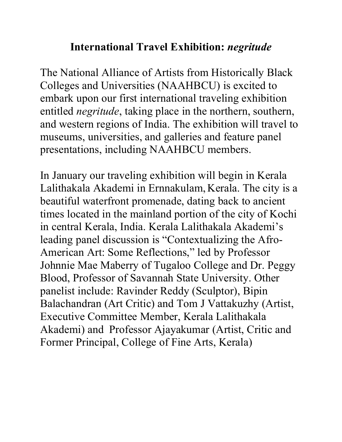## **International Travel Exhibition:** *negritude*

The National Alliance of Artists from Historically Black Colleges and Universities (NAAHBCU) is excited to embark upon our first international traveling exhibition entitled *negritude*, taking place in the northern, southern, and western regions of India. The exhibition will travel to museums, universities, and galleries and feature panel presentations, including NAAHBCU members.

In January our traveling exhibition will begin in Kerala Lalithakala Akademi in Ernnakulam, Kerala. The city is a beautiful waterfront promenade, dating back to ancient times located in the mainland portion of the city of Kochi in central Kerala, India. Kerala Lalithakala Akademi's leading panel discussion is "Contextualizing the Afro-American Art: Some Reflections," led by Professor Johnnie Mae Maberry of Tugaloo College and Dr. Peggy Blood, Professor of Savannah State University. Other panelist include: Ravinder Reddy (Sculptor), Bipin Balachandran (Art Critic) and Tom J Vattakuzhy (Artist, Executive Committee Member, Kerala Lalithakala Akademi) and Professor Ajayakumar (Artist, Critic and Former Principal, College of Fine Arts, Kerala)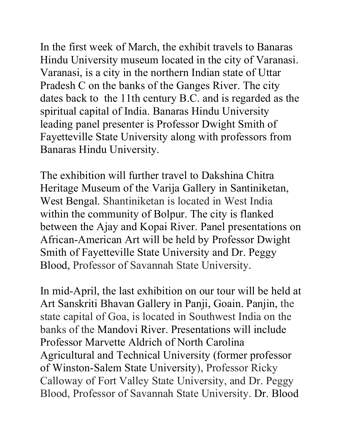In the first week of March, the exhibit travels to Banaras Hindu University museum located in the city of Varanasi. Varanasi, is a city in the northern Indian state of Uttar Pradesh C on the banks of the Ganges River. The city dates back to the 11th century B.C. and is regarded as the spiritual capital of India. Banaras Hindu University leading panel presenter is Professor Dwight Smith of Fayetteville State University along with professors from Banaras Hindu University.

The exhibition will further travel to Dakshina Chitra Heritage Museum of the Varija Gallery in Santiniketan, West Bengal. Shantiniketan is located in West India within the community of Bolpur. The city is flanked between the Ajay and Kopai River. Panel presentations on African-American Art will be held by Professor Dwight Smith of Fayetteville State University and Dr. Peggy Blood, Professor of Savannah State University.

In mid-April, the last exhibition on our tour will be held at Art Sanskriti Bhavan Gallery in Panji, Goain. Panjin, the state capital of Goa, is located in Southwest India on the banks of the Mandovi River. Presentations will include Professor Marvette Aldrich of North Carolina Agricultural and Technical University (former professor of Winston-Salem State University), Professor Ricky Calloway of Fort Valley State University, and Dr. Peggy Blood, Professor of Savannah State University. Dr. Blood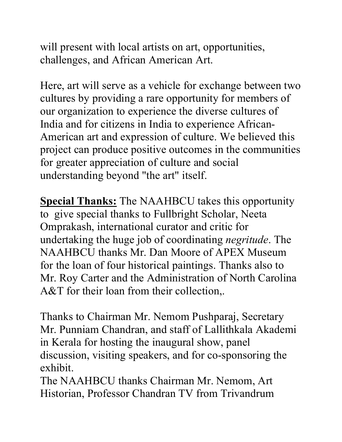will present with local artists on art, opportunities, challenges, and African American Art.

Here, art will serve as a vehicle for exchange between two cultures by providing a rare opportunity for members of our organization to experience the diverse cultures of India and for citizens in India to experience African-American art and expression of culture. We believed this project can produce positive outcomes in the communities for greater appreciation of culture and social understanding beyond "the art" itself.

**Special Thanks:** The NAAHBCU takes this opportunity to give special thanks to Fullbright Scholar, Neeta Omprakash, international curator and critic for undertaking the huge job of coordinating *negritude*. The NAAHBCU thanks Mr. Dan Moore of APEX Museum for the loan of four historical paintings. Thanks also to Mr. Roy Carter and the Administration of North Carolina A&T for their loan from their collection,.

Thanks to Chairman Mr. Nemom Pushparaj, Secretary Mr. Punniam Chandran, and staff of Lallithkala Akademi in Kerala for hosting the inaugural show, panel discussion, visiting speakers, and for co-sponsoring the exhibit.

The NAAHBCU thanks Chairman Mr. Nemom, Art Historian, Professor Chandran TV from Trivandrum